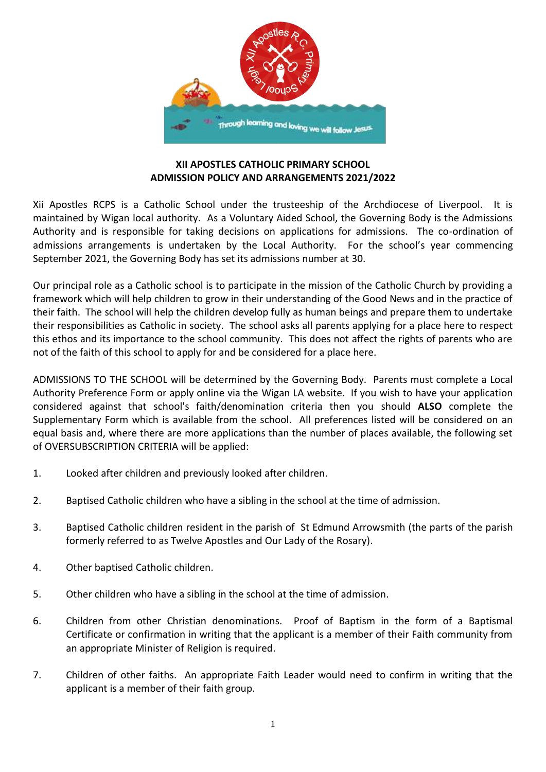

## **XII APOSTLES CATHOLIC PRIMARY SCHOOL ADMISSION POLICY AND ARRANGEMENTS 2021/2022**

Xii Apostles RCPS is a Catholic School under the trusteeship of the Archdiocese of Liverpool. It is maintained by Wigan local authority. As a Voluntary Aided School, the Governing Body is the Admissions Authority and is responsible for taking decisions on applications for admissions. The co-ordination of admissions arrangements is undertaken by the Local Authority. For the school's year commencing September 2021, the Governing Body has set its admissions number at 30.

Our principal role as a Catholic school is to participate in the mission of the Catholic Church by providing a framework which will help children to grow in their understanding of the Good News and in the practice of their faith. The school will help the children develop fully as human beings and prepare them to undertake their responsibilities as Catholic in society. The school asks all parents applying for a place here to respect this ethos and its importance to the school community. This does not affect the rights of parents who are not of the faith of this school to apply for and be considered for a place here.

ADMISSIONS TO THE SCHOOL will be determined by the Governing Body. Parents must complete a Local Authority Preference Form or apply online via the Wigan LA website. If you wish to have your application considered against that school's faith/denomination criteria then you should **ALSO** complete the Supplementary Form which is available from the school. All preferences listed will be considered on an equal basis and, where there are more applications than the number of places available, the following set of OVERSUBSCRIPTION CRITERIA will be applied:

- 1. Looked after children and previously looked after children.
- 2. Baptised Catholic children who have a sibling in the school at the time of admission.
- 3. Baptised Catholic children resident in the parish of St Edmund Arrowsmith (the parts of the parish formerly referred to as Twelve Apostles and Our Lady of the Rosary).
- 4. Other baptised Catholic children.
- 5. Other children who have a sibling in the school at the time of admission.
- 6. Children from other Christian denominations. Proof of Baptism in the form of a Baptismal Certificate or confirmation in writing that the applicant is a member of their Faith community from an appropriate Minister of Religion is required.
- 7. Children of other faiths. An appropriate Faith Leader would need to confirm in writing that the applicant is a member of their faith group.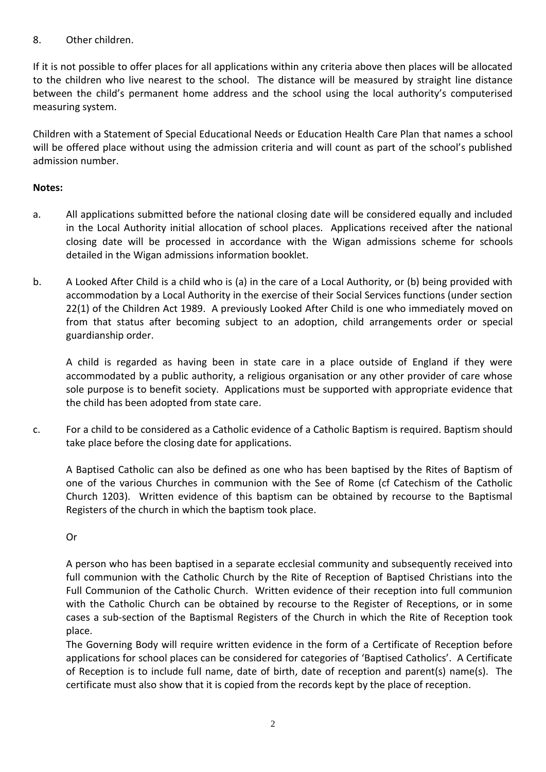## 8. Other children.

If it is not possible to offer places for all applications within any criteria above then places will be allocated to the children who live nearest to the school. The distance will be measured by straight line distance between the child's permanent home address and the school using the local authority's computerised measuring system.

Children with a Statement of Special Educational Needs or Education Health Care Plan that names a school will be offered place without using the admission criteria and will count as part of the school's published admission number.

## **Notes:**

- a. All applications submitted before the national closing date will be considered equally and included in the Local Authority initial allocation of school places. Applications received after the national closing date will be processed in accordance with the Wigan admissions scheme for schools detailed in the Wigan admissions information booklet.
- b. A Looked After Child is a child who is (a) in the care of a Local Authority, or (b) being provided with accommodation by a Local Authority in the exercise of their Social Services functions (under section 22(1) of the Children Act 1989. A previously Looked After Child is one who immediately moved on from that status after becoming subject to an adoption, child arrangements order or special guardianship order.

A child is regarded as having been in state care in a place outside of England if they were accommodated by a public authority, a religious organisation or any other provider of care whose sole purpose is to benefit society. Applications must be supported with appropriate evidence that the child has been adopted from state care.

c. For a child to be considered as a Catholic evidence of a Catholic Baptism is required. Baptism should take place before the closing date for applications.

A Baptised Catholic can also be defined as one who has been baptised by the Rites of Baptism of one of the various Churches in communion with the See of Rome (cf Catechism of the Catholic Church 1203). Written evidence of this baptism can be obtained by recourse to the Baptismal Registers of the church in which the baptism took place.

## Or

A person who has been baptised in a separate ecclesial community and subsequently received into full communion with the Catholic Church by the Rite of Reception of Baptised Christians into the Full Communion of the Catholic Church. Written evidence of their reception into full communion with the Catholic Church can be obtained by recourse to the Register of Receptions, or in some cases a sub-section of the Baptismal Registers of the Church in which the Rite of Reception took place.

The Governing Body will require written evidence in the form of a Certificate of Reception before applications for school places can be considered for categories of 'Baptised Catholics'. A Certificate of Reception is to include full name, date of birth, date of reception and parent(s) name(s). The certificate must also show that it is copied from the records kept by the place of reception.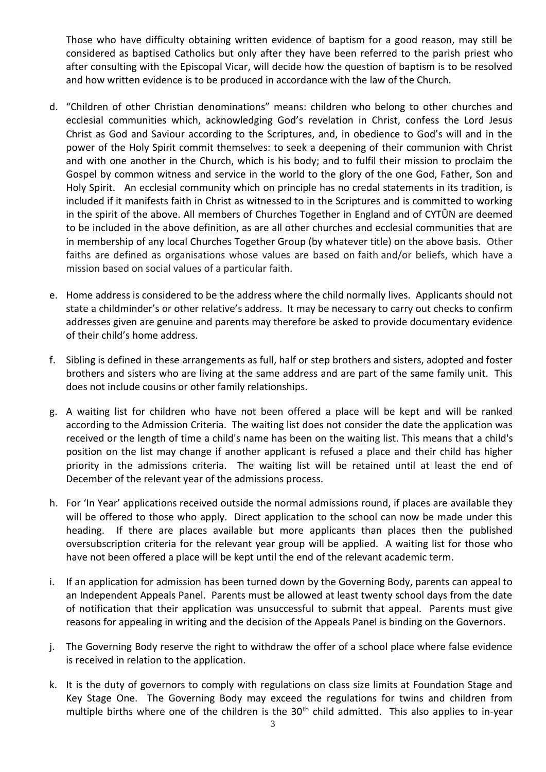Those who have difficulty obtaining written evidence of baptism for a good reason, may still be considered as baptised Catholics but only after they have been referred to the parish priest who after consulting with the Episcopal Vicar, will decide how the question of baptism is to be resolved and how written evidence is to be produced in accordance with the law of the Church.

- d. "Children of other Christian denominations" means: children who belong to other churches and ecclesial communities which, acknowledging God's revelation in Christ, confess the Lord Jesus Christ as God and Saviour according to the Scriptures, and, in obedience to God's will and in the power of the Holy Spirit commit themselves: to seek a deepening of their communion with Christ and with one another in the Church, which is his body; and to fulfil their mission to proclaim the Gospel by common witness and service in the world to the glory of the one God, Father, Son and Holy Spirit. An ecclesial community which on principle has no credal statements in its tradition, is included if it manifests faith in Christ as witnessed to in the Scriptures and is committed to working in the spirit of the above. All members of Churches Together in England and of CYTÛN are deemed to be included in the above definition, as are all other churches and ecclesial communities that are in membership of any local Churches Together Group (by whatever title) on the above basis. Other faiths are defined as organisations whose values are based on faith and/or beliefs, which have a mission based on social values of a particular faith.
- e. Home address is considered to be the address where the child normally lives. Applicants should not state a childminder's or other relative's address. It may be necessary to carry out checks to confirm addresses given are genuine and parents may therefore be asked to provide documentary evidence of their child's home address.
- f. Sibling is defined in these arrangements as full, half or step brothers and sisters, adopted and foster brothers and sisters who are living at the same address and are part of the same family unit. This does not include cousins or other family relationships.
- g. A waiting list for children who have not been offered a place will be kept and will be ranked according to the Admission Criteria. The waiting list does not consider the date the application was received or the length of time a child's name has been on the waiting list. This means that a child's position on the list may change if another applicant is refused a place and their child has higher priority in the admissions criteria. The waiting list will be retained until at least the end of December of the relevant year of the admissions process.
- h. For 'In Year' applications received outside the normal admissions round, if places are available they will be offered to those who apply. Direct application to the school can now be made under this heading. If there are places available but more applicants than places then the published oversubscription criteria for the relevant year group will be applied. A waiting list for those who have not been offered a place will be kept until the end of the relevant academic term.
- i. If an application for admission has been turned down by the Governing Body, parents can appeal to an Independent Appeals Panel. Parents must be allowed at least twenty school days from the date of notification that their application was unsuccessful to submit that appeal. Parents must give reasons for appealing in writing and the decision of the Appeals Panel is binding on the Governors.
- j. The Governing Body reserve the right to withdraw the offer of a school place where false evidence is received in relation to the application.
- k. It is the duty of governors to comply with regulations on class size limits at Foundation Stage and Key Stage One. The Governing Body may exceed the regulations for twins and children from multiple births where one of the children is the 30<sup>th</sup> child admitted. This also applies to in-year